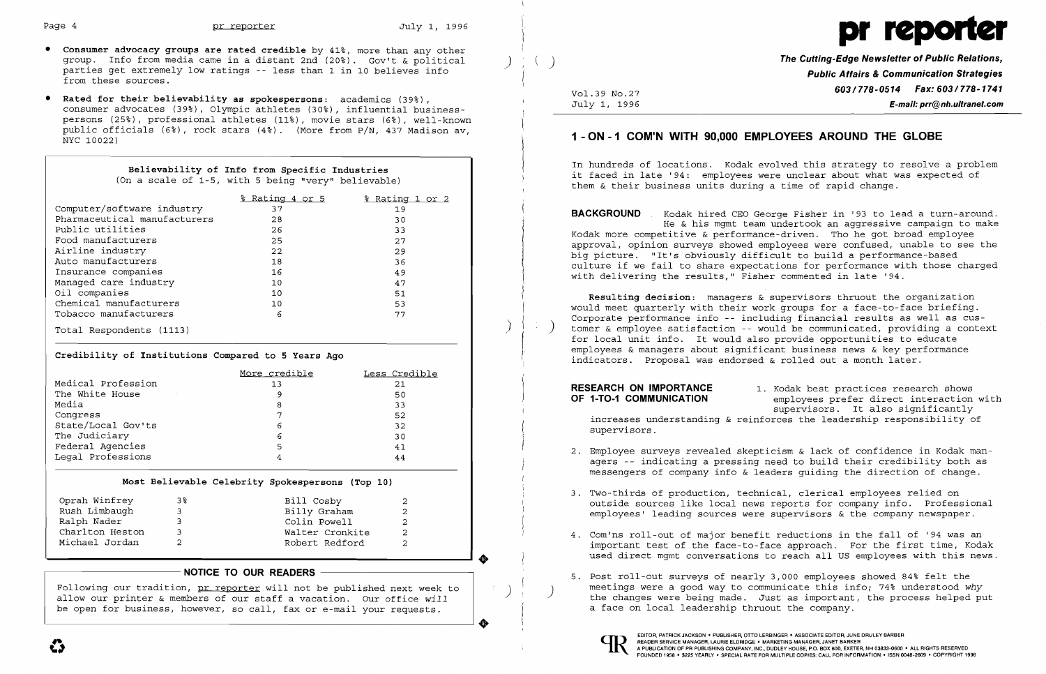

- **•** Consumer advocacy groups are rated credible by 41%, more than any other group. Info from media came in a distant 2nd  $(20^{\circ})$ . Gov't & political parties get extremely low ratings - less than 1 in 10 believes info from these sources.
- **Rated for their believability as spokespersons:** academics (39~), consumer advocates (39%), Olympic athletes (30%), influential businesspersons (25%), professional athletes (11%), movie stars (6%), well-known public officials (6%), rock stars (4%). (More from P/N, 437 Madison av, NYC 10022)

# **Believability of Info from Specific Industries**

(On a scale of 1-5, with 5 being "very" believable)

|                              | <u>% Rating 4 or 5</u> | % Rating 1 or 2 |
|------------------------------|------------------------|-----------------|
| Computer/software industry   | 37                     | 19              |
| Pharmaceutical manufacturers | 28                     | 30              |
| Public utilities             | 26                     | 33              |
| Food manufacturers           | 25                     | 27              |
| Airline industry             | 22                     | 29              |
| Auto manufacturers           | 18                     | 36              |
| Insurance companies          | 16                     | 49              |
| Managed care industry        | 10                     | 47              |
| Oil companies                | 10                     | 51              |
| Chemical manufacturers       | 10                     | 53              |
| Tobacco manufacturers        | 6                      | 77              |
| Total Respondents (1113)     |                        |                 |

### **Credibility of Institutions Compared to 5 Years Ago**

|                                            | More credible | Less Credible |
|--------------------------------------------|---------------|---------------|
| Medical Profession                         | 13            | 21            |
| The White House<br>$\sim 100$ km s $^{-1}$ | 9             | 50            |
| Media                                      | 8             | 33            |
| Conqress                                   | 7             | 52            |
| State/Local Gov'ts                         | 6             | 32            |
| The Judiciary                              | 6             | 30            |
| Federal Agencies                           | 5             | 41            |
| Legal Professions                          | 4             | 44            |
|                                            |               |               |

### **Most Believable Celebrity Spokespersons (Top 10)**

| Oprah Winfrey   | 3% | Bill Cosby      | 2 |
|-----------------|----|-----------------|---|
| Rush Limbaugh   | ર  | Billy Graham    |   |
| Ralph Nader     | 3  | Colin Powell    |   |
| Charlton Heston | 3  | Walter Cronkite |   |
| Michael Jordan  |    | Robert Redford  |   |

employees prefer direct interaction with supervisors. It also significantly increases understanding & reinforces the leadership responsibility of

**The Cutting-Edge Newsletter of Public Relations,** ) ) **Public Affairs & Communication Strategies 603/778-0514 Fax: 603/778-1741** Vol.39 NO.27 July 1, 1996 **E-mail: prr@nh.ultranet.com** 

2. Employee surveys revealed skepticism & lack of confidence in Kodak managers -- indicating a pressing need to build their credibility both as messengers of company info & leaders guiding the direction of change.

## 1 **- ON -1 COM'N WITH 90,000 EMPLOYEES AROUND THE GLOBE**

4. Com'ns roll-out of major benefit reductions in the fall of '94 was an important test of the face-to-face approach. For the first time, Kodak used direct mgmt conversations to reach all US employees with this news.

In hundreds of locations. Kodak evolved this strategy to resolve a problem it faced in late '94: employees were unclear about what was expected of them & their business units during a time of rapid change.

Following our tradition, <u>pr reporter</u> will not be published next week to  $\vert$  () ) announcand meetings were a good way to communicate this info; 74% understood *why* allow our printer & members of our staff a vacation. Ou be open for business, however, so call, fax or e-mail your requests. allow our printer & members of our staff a vacation. Our office *will* 

**BACKGROUND** Kodak hired CEO George Fisher in '93 to lead a turn-around. He & his mgmt team undertook an aggressive campaign to make Kodak more competitive & performance-driven. Tho he got broad employee approval, opinion surveys showed employees were confused, unable to see the big picture. "It's obviously difficult to build a performance-based culture if we fail to share expectations for performance with those charged with delivering the results," Fisher commented in late '94.

**Resulting decision:** managers & supervisors thruout the organization would meet quarterly with their work groups for a face-to-face briefing. Corporate performance info -- including financial results as well as cus tomer & employee satisfaction -- would be communicated, providing a context for local unit info. It would also provide opportunities to educate employees & managers about significant business news & key performance indicators. Proposal was endorsed & rolled out a month later.

# **RESEARCH ON IMPORTANCE** 1. Kodak best practices research shows<br>**OF 1-TO-1 COMMUNICATION** employees prefer direct interaction

supervisors.

outside sources like local news reports for company info. Professional employees' leading sources were supervisors & the company newspaper.

- 
- 3. Two-thirds of production, technical, clerical employees relied on
- 
- **NOTICE TO OUR READERS NOTICE TO OUR READERS 1999 <b>12. Post roll-out** surveys of nearly 3,000 employees showed 84% felt the a face on local leadership thruout the company.

..

EDITOR, PATRICK JACKSON· PUBLISHER, *OTTO* LERBINGER • ASSOCIATE EDITOR, JUNE DRULEY BARBER